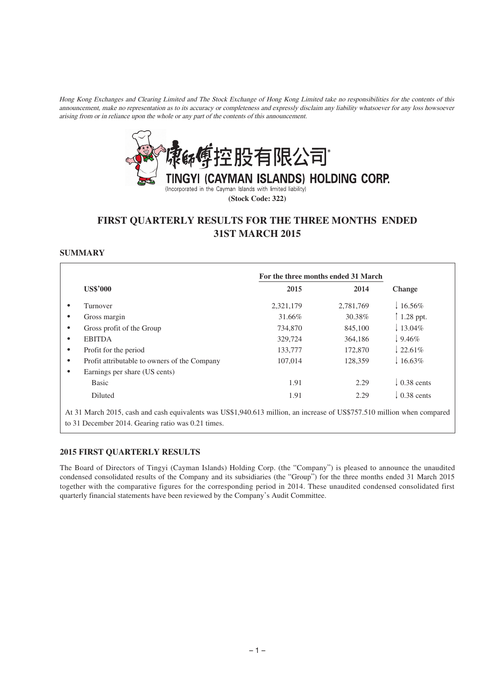Hong Kong Exchanges and Clearing Limited and The Stock Exchange of Hong Kong Limited take no responsibilities for the contents of this announcement, make no representation as to its accuracy or completeness and expressly disclaim any liability whatsoever for any loss howsoever arising from or in reliance upon the whole or any part of the contents of this announcement.



**(Stock Code: 322)**

# **FIRST QUARTERLY RESULTS FOR THE THREE MONTHS ENDED 31ST MARCH 2015**

# **SUMMARY**

|                                              | For the three months ended 31 March |           |                     |
|----------------------------------------------|-------------------------------------|-----------|---------------------|
| <b>US\$'000</b>                              | 2015                                | 2014      | Change              |
| Turnover                                     | 2,321,179                           | 2,781,769 | $16.56\%$           |
| Gross margin                                 | 31.66%                              | 30.38%    | $1.28$ ppt.         |
| Gross profit of the Group                    | 734,870                             | 845,100   | $13.04\%$           |
| <b>EBITDA</b>                                | 329,724                             | 364,186   | $9.46\%$            |
| Profit for the period                        | 133,777                             | 172,870   | $122.61\%$          |
| Profit attributable to owners of the Company | 107,014                             | 128,359   | $16.63\%$           |
| Earnings per share (US cents)                |                                     |           |                     |
| <b>Basic</b>                                 | 1.91                                | 2.29      | $\sqrt{0.38}$ cents |
| Diluted                                      | 1.91                                | 2.29      | $\sqrt{0.38}$ cents |

At 31 March 2015, cash and cash equivalents was US\$1,940.613 million, an increase of US\$757.510 million when compared to 31 December 2014. Gearing ratio was 0.21 times.

## **2015 FIRST QUARTERLY RESULTS**

The Board of Directors of Tingyi (Cayman Islands) Holding Corp. (the "Company") is pleased to announce the unaudited condensed consolidated results of the Company and its subsidiaries (the "Group") for the three months ended 31 March 2015 together with the comparative figures for the corresponding period in 2014. These unaudited condensed consolidated first quarterly financial statements have been reviewed by the Company's Audit Committee.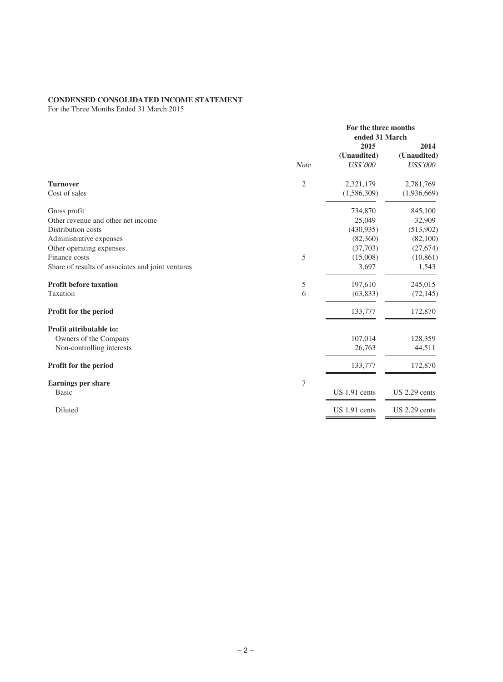# **CONDENSED CONSOLIDATED INCOME STATEMENT**

For the Three Months Ended 31 March 2015

|                                                   | For the three months<br>ended 31 March |                 |                 |  |
|---------------------------------------------------|----------------------------------------|-----------------|-----------------|--|
|                                                   |                                        | 2015            | 2014            |  |
|                                                   |                                        | (Unaudited)     | (Unaudited)     |  |
|                                                   | <b>Note</b>                            | <b>US\$'000</b> | <b>US\$'000</b> |  |
| <b>Turnover</b>                                   | $\mathfrak{2}$                         | 2,321,179       | 2,781,769       |  |
| Cost of sales                                     |                                        | (1,586,309)     | (1,936,669)     |  |
| Gross profit                                      |                                        | 734,870         | 845,100         |  |
| Other revenue and other net income                |                                        | 25,049          | 32,909          |  |
| Distribution costs                                |                                        | (430,935)       | (513,902)       |  |
| Administrative expenses                           |                                        | (82,360)        | (82,100)        |  |
| Other operating expenses                          |                                        | (37,703)        | (27, 674)       |  |
| Finance costs                                     | 5                                      | (15,008)        | (10, 861)       |  |
| Share of results of associates and joint ventures |                                        | 3,697           | 1,543           |  |
| <b>Profit before taxation</b>                     | 5                                      | 197,610         | 245,015         |  |
| Taxation                                          | 6                                      | (63, 833)       | (72, 145)       |  |
| <b>Profit for the period</b>                      |                                        | 133,777         | 172,870         |  |
| <b>Profit attributable to:</b>                    |                                        |                 |                 |  |
| Owners of the Company                             |                                        | 107,014         | 128,359         |  |
| Non-controlling interests                         |                                        | 26,763          | 44,511          |  |
| Profit for the period                             |                                        | 133,777         | 172,870         |  |
| <b>Earnings per share</b>                         | $\boldsymbol{7}$                       |                 |                 |  |
| <b>Basic</b>                                      |                                        | US 1.91 cents   | US 2.29 cents   |  |
| Diluted                                           |                                        | US 1.91 cents   | $US 2.29$ cents |  |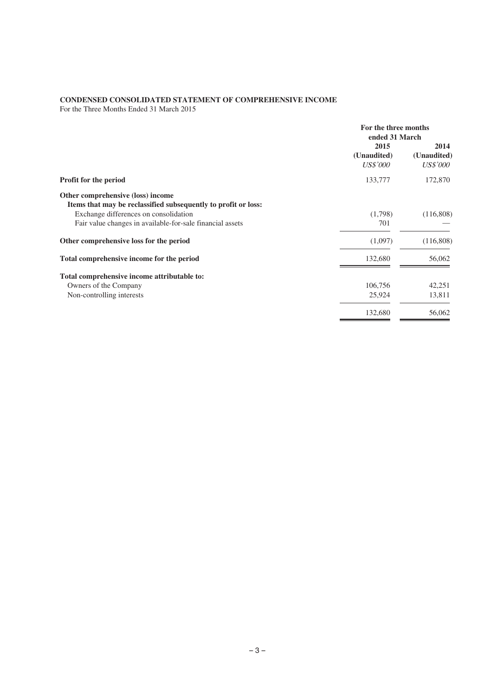# **CONDENSED CONSOLIDATED STATEMENT OF COMPREHENSIVE INCOME**

For the Three Months Ended 31 March 2015

|                                                                | For the three months<br>ended 31 March |                 |  |
|----------------------------------------------------------------|----------------------------------------|-----------------|--|
|                                                                | 2015                                   | 2014            |  |
|                                                                | (Unaudited)                            | (Unaudited)     |  |
|                                                                | <i>US\$'000</i>                        | <i>US\$'000</i> |  |
| <b>Profit for the period</b>                                   | 133,777                                | 172,870         |  |
| Other comprehensive (loss) income                              |                                        |                 |  |
| Items that may be reclassified subsequently to profit or loss: |                                        |                 |  |
| Exchange differences on consolidation                          | (1,798)                                | (116,808)       |  |
| Fair value changes in available-for-sale financial assets      | 701                                    |                 |  |
| Other comprehensive loss for the period                        | (1,097)                                | (116,808)       |  |
| Total comprehensive income for the period                      | 132,680                                | 56,062          |  |
| Total comprehensive income attributable to:                    |                                        |                 |  |
| Owners of the Company                                          | 106,756                                | 42,251          |  |
| Non-controlling interests                                      | 25,924                                 | 13,811          |  |
|                                                                | 132,680                                | 56,062          |  |
|                                                                |                                        |                 |  |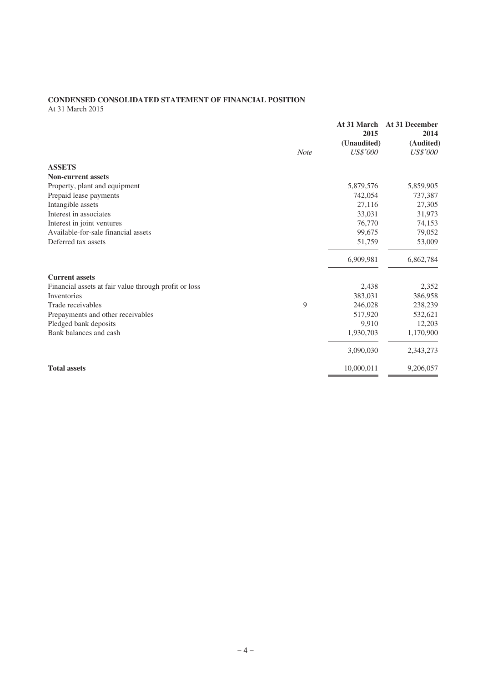# **CONDENSED CONSOLIDATED STATEMENT OF FINANCIAL POSITION**

At 31 March 2015

|                                                       | <b>Note</b> | At 31 March<br>2015<br>(Unaudited)<br><b>US\$'000</b> | <b>At 31 December</b><br>2014<br>(Audited)<br><b>US\$'000</b> |
|-------------------------------------------------------|-------------|-------------------------------------------------------|---------------------------------------------------------------|
| <b>ASSETS</b>                                         |             |                                                       |                                                               |
| <b>Non-current assets</b>                             |             |                                                       |                                                               |
| Property, plant and equipment                         |             | 5,879,576                                             | 5,859,905                                                     |
| Prepaid lease payments                                |             | 742,054                                               | 737,387                                                       |
| Intangible assets                                     |             | 27,116                                                | 27,305                                                        |
| Interest in associates                                |             | 33,031                                                | 31,973                                                        |
| Interest in joint ventures                            |             | 76,770                                                | 74,153                                                        |
| Available-for-sale financial assets                   |             | 99,675                                                | 79,052                                                        |
| Deferred tax assets                                   |             | 51,759                                                | 53,009                                                        |
|                                                       |             | 6,909,981                                             | 6,862,784                                                     |
| <b>Current assets</b>                                 |             |                                                       |                                                               |
| Financial assets at fair value through profit or loss |             | 2,438                                                 | 2,352                                                         |
| <b>Inventories</b>                                    |             | 383,031                                               | 386,958                                                       |
| Trade receivables                                     | 9           | 246,028                                               | 238,239                                                       |
| Prepayments and other receivables                     |             | 517,920                                               | 532,621                                                       |
| Pledged bank deposits                                 |             | 9,910                                                 | 12,203                                                        |
| Bank balances and cash                                |             | 1,930,703                                             | 1,170,900                                                     |
|                                                       |             | 3,090,030                                             | 2,343,273                                                     |
| <b>Total assets</b>                                   |             | 10,000,011                                            | 9,206,057                                                     |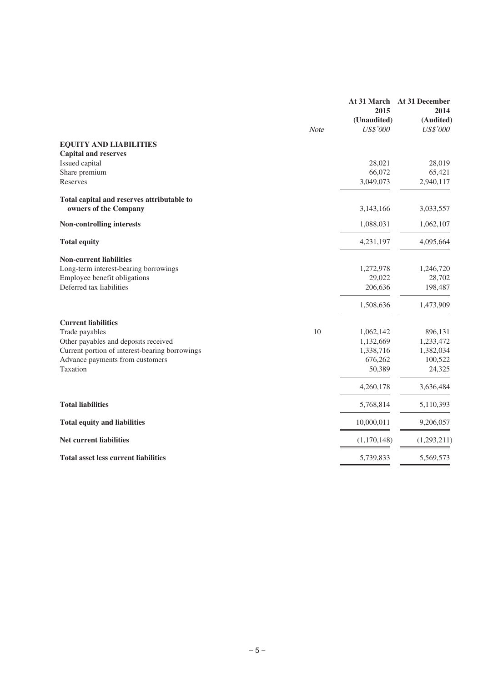|                                                | At 31 March     | At 31 December  |
|------------------------------------------------|-----------------|-----------------|
|                                                | 2015            | 2014            |
|                                                | (Unaudited)     | (Audited)       |
| Note                                           | <b>US\$'000</b> | <b>US\$'000</b> |
| <b>EQUITY AND LIABILITIES</b>                  |                 |                 |
| <b>Capital and reserves</b>                    |                 |                 |
| Issued capital                                 | 28,021          | 28,019          |
| Share premium                                  | 66,072          | 65,421          |
| Reserves                                       | 3,049,073       | 2,940,117       |
| Total capital and reserves attributable to     |                 |                 |
| owners of the Company                          | 3,143,166       | 3,033,557       |
| Non-controlling interests                      | 1,088,031       | 1,062,107       |
| <b>Total equity</b>                            | 4,231,197       | 4,095,664       |
| <b>Non-current liabilities</b>                 |                 |                 |
| Long-term interest-bearing borrowings          | 1,272,978       | 1,246,720       |
| Employee benefit obligations                   | 29,022          | 28,702          |
| Deferred tax liabilities                       | 206,636         | 198,487         |
|                                                | 1,508,636       | 1,473,909       |
| <b>Current liabilities</b>                     |                 |                 |
| 10<br>Trade payables                           | 1,062,142       | 896,131         |
| Other payables and deposits received           | 1,132,669       | 1,233,472       |
| Current portion of interest-bearing borrowings | 1,338,716       | 1,382,034       |
| Advance payments from customers                | 676,262         | 100,522         |
| Taxation                                       | 50,389          | 24,325          |
|                                                | 4,260,178       | 3,636,484       |
| <b>Total liabilities</b>                       | 5,768,814       | 5,110,393       |
| <b>Total equity and liabilities</b>            | 10,000,011      | 9,206,057       |
| <b>Net current liabilities</b>                 | (1,170,148)     | (1,293,211)     |
| <b>Total asset less current liabilities</b>    | 5,739,833       | 5,569,573       |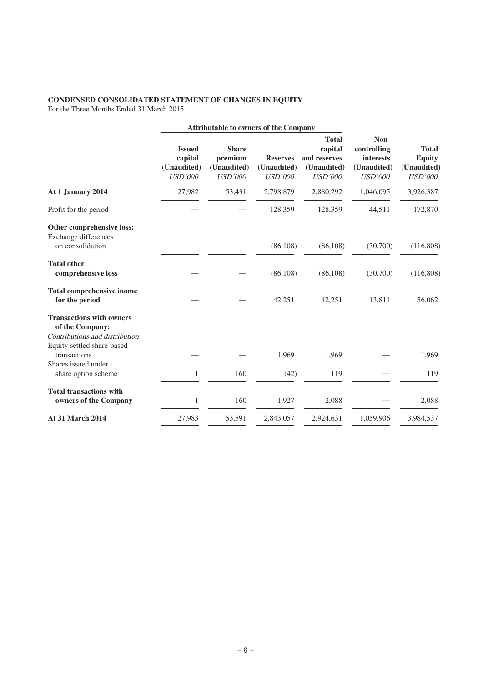# **CONDENSED CONSOLIDATED STATEMENT OF CHANGES IN EQUITY**

For the Three Months Ended 31 March 2015

|                                                                                      |                                                           | <b>Attributable to owners of the Company</b>             |                                                  |                                                                          |                                                                          |                                                                |
|--------------------------------------------------------------------------------------|-----------------------------------------------------------|----------------------------------------------------------|--------------------------------------------------|--------------------------------------------------------------------------|--------------------------------------------------------------------------|----------------------------------------------------------------|
|                                                                                      | <b>Issued</b><br>capital<br>(Unaudited)<br><b>USD'000</b> | <b>Share</b><br>premium<br>(Unaudited)<br><b>USD'000</b> | <b>Reserves</b><br>(Unaudited)<br><b>USD'000</b> | <b>Total</b><br>capital<br>and reserves<br>(Unaudited)<br><b>USD'000</b> | Non-<br>controlling<br><b>interests</b><br>(Unaudited)<br><b>USD'000</b> | <b>Total</b><br><b>Equity</b><br>(Unaudited)<br><b>USD'000</b> |
| At 1 January 2014                                                                    | 27,982                                                    | 53,431                                                   | 2,798,879                                        | 2,880,292                                                                | 1,046,095                                                                | 3,926,387                                                      |
| Profit for the period                                                                |                                                           |                                                          | 128,359                                          | 128,359                                                                  | 44,511                                                                   | 172,870                                                        |
| Other comprehensive loss:<br>Exchange differences<br>on consolidation                |                                                           |                                                          | (86, 108)                                        | (86, 108)                                                                | (30,700)                                                                 | (116,808)                                                      |
| <b>Total other</b><br>comprehensive loss                                             |                                                           |                                                          | (86, 108)                                        | (86, 108)                                                                | (30,700)                                                                 | (116,808)                                                      |
| <b>Total comprehensive inome</b><br>for the period                                   |                                                           |                                                          | 42,251                                           | 42,251                                                                   | 13,811                                                                   | 56,062                                                         |
| <b>Transactions with owners</b><br>of the Company:<br>Contributions and distribution |                                                           |                                                          |                                                  |                                                                          |                                                                          |                                                                |
| Equity settled share-based<br>transactions                                           |                                                           |                                                          | 1,969                                            | 1,969                                                                    |                                                                          | 1,969                                                          |
| Shares issued under<br>share option scheme                                           | $\mathbf{1}$                                              | 160                                                      | (42)                                             | 119                                                                      |                                                                          | 119                                                            |
| <b>Total transactions with</b><br>owners of the Company                              | $\mathbf{1}$                                              | 160                                                      | 1,927                                            | 2,088                                                                    |                                                                          | 2,088                                                          |
| <b>At 31 March 2014</b>                                                              | 27,983                                                    | 53,591                                                   | 2,843,057                                        | 2,924,631                                                                | 1,059,906                                                                | 3,984,537                                                      |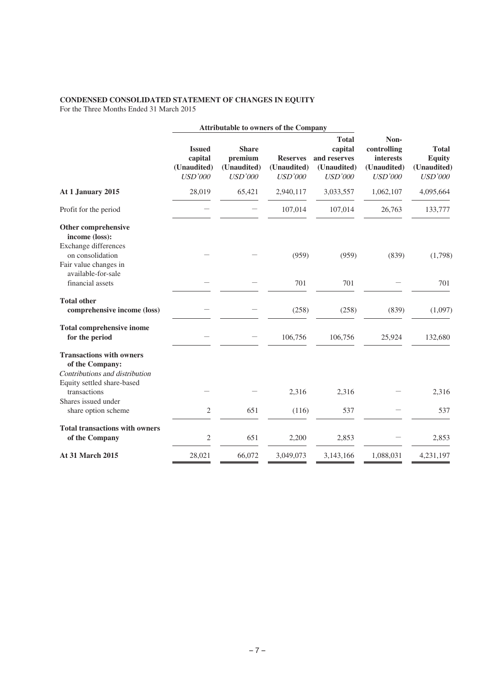# **CONDENSED CONSOLIDATED STATEMENT OF CHANGES IN EQUITY**

For the Three Months Ended 31 March 2015

|                                                                                                                    |                                                           | <b>Attributable to owners of the Company</b>             |                                                  |                                                                          |                                                                          |                                                                |
|--------------------------------------------------------------------------------------------------------------------|-----------------------------------------------------------|----------------------------------------------------------|--------------------------------------------------|--------------------------------------------------------------------------|--------------------------------------------------------------------------|----------------------------------------------------------------|
|                                                                                                                    | <b>Issued</b><br>capital<br>(Unaudited)<br><b>USD'000</b> | <b>Share</b><br>premium<br>(Unaudited)<br><b>USD'000</b> | <b>Reserves</b><br>(Unaudited)<br><b>USD'000</b> | <b>Total</b><br>capital<br>and reserves<br>(Unaudited)<br><b>USD'000</b> | Non-<br>controlling<br><b>interests</b><br>(Unaudited)<br><b>USD'000</b> | <b>Total</b><br><b>Equity</b><br>(Unaudited)<br><b>USD'000</b> |
| At 1 January 2015                                                                                                  | 28,019                                                    | 65,421                                                   | 2,940,117                                        | 3,033,557                                                                | 1,062,107                                                                | 4,095,664                                                      |
| Profit for the period                                                                                              |                                                           |                                                          | 107,014                                          | 107,014                                                                  | 26,763                                                                   | 133,777                                                        |
| Other comprehensive<br>income (loss):<br>Exchange differences<br>on consolidation                                  |                                                           |                                                          | (959)                                            | (959)                                                                    | (839)                                                                    | (1,798)                                                        |
| Fair value changes in<br>available-for-sale                                                                        |                                                           |                                                          |                                                  |                                                                          |                                                                          |                                                                |
| financial assets                                                                                                   |                                                           |                                                          | 701                                              | 701                                                                      |                                                                          | 701                                                            |
| <b>Total other</b><br>comprehensive income (loss)                                                                  |                                                           |                                                          | (258)                                            | (258)                                                                    | (839)                                                                    | (1,097)                                                        |
| <b>Total comprehensive inome</b><br>for the period                                                                 |                                                           |                                                          | 106,756                                          | 106,756                                                                  | 25,924                                                                   | 132,680                                                        |
| <b>Transactions with owners</b><br>of the Company:<br>Contributions and distribution<br>Equity settled share-based |                                                           |                                                          |                                                  |                                                                          |                                                                          |                                                                |
| transactions                                                                                                       |                                                           |                                                          | 2,316                                            | 2,316                                                                    |                                                                          | 2,316                                                          |
| Shares issued under<br>share option scheme                                                                         | $\mathfrak{2}$                                            | 651                                                      | (116)                                            | 537                                                                      |                                                                          | 537                                                            |
| <b>Total transactions with owners</b><br>of the Company                                                            | $\mathfrak{2}$                                            | 651                                                      | 2,200                                            | 2,853                                                                    |                                                                          | 2,853                                                          |
| <b>At 31 March 2015</b>                                                                                            | 28,021                                                    | 66,072                                                   | 3,049,073                                        | 3,143,166                                                                | 1,088,031                                                                | 4,231,197                                                      |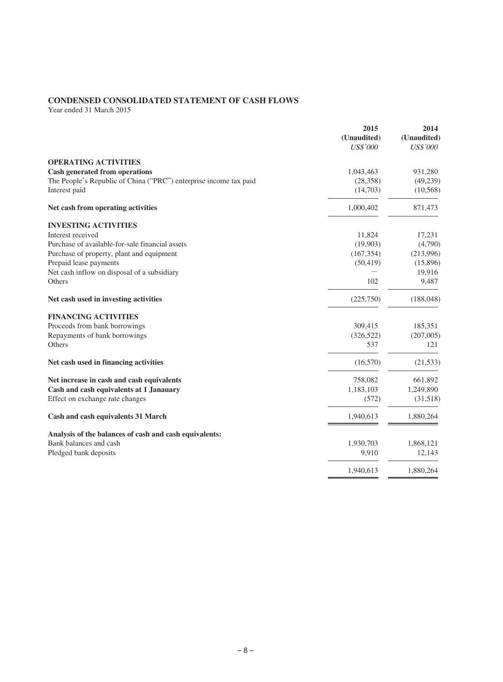# **CONDENSED CONSOLIDATED STATEMENT OF CASH FLOWS**

Year ended 31 March 2015

|                                                                   | 2015<br>(Unaudited) | 2014<br>(Unaudited) |
|-------------------------------------------------------------------|---------------------|---------------------|
|                                                                   | <b>US\$'000</b>     | <b>US\$'000</b>     |
| <b>OPERATING ACTIVITIES</b>                                       |                     |                     |
| <b>Cash generated from operations</b>                             | 1,043,463           | 931,280             |
| The People's Republic of China ("PRC") enterprise income tax paid | (28, 358)           | (49, 239)           |
| Interest paid                                                     | (14,703)            | (10, 568)           |
| Net cash from operating activities                                | 1,000,402           | 871,473             |
| <b>INVESTING ACTIVITIES</b>                                       |                     |                     |
| Interest received                                                 | 11,824              | 17,231              |
| Purchase of available-for-sale financial assets                   | (19,903)            | (4,790)             |
| Purchase of property, plant and equipment                         | (167, 354)          | (213,996)           |
| Prepaid lease payments                                            | (50, 419)           | (15,896)            |
| Net cash inflow on disposal of a subsidiary                       |                     | 19,916              |
| Others                                                            | 102                 | 9,487               |
| Net cash used in investing activities                             | (225,750)           | (188, 048)          |
| <b>FINANCING ACTIVITIES</b>                                       |                     |                     |
| Proceeds from bank borrowings                                     | 309,415             | 185,351             |
| Repayments of bank borrowings                                     | (326, 522)          | (207,005)           |
| Others                                                            | 537                 | 121                 |
| Net cash used in financing activities                             | (16,570)            | (21, 533)           |
| Net increase in cash and cash equivalents                         | 758,082             | 661,892             |
| Cash and cash equivalents at 1 Janauary                           | 1,183,103           | 1,249,890           |
| Effect on exchange rate changes                                   | (572)               | (31,518)            |
| Cash and cash equivalents 31 March                                | 1,940,613           | 1,880,264           |
| Analysis of the balances of cash and cash equivalents:            |                     |                     |
| Bank balances and cash                                            | 1,930,703           | 1,868,121           |
| Pledged bank deposits                                             | 9,910               | 12,143              |
|                                                                   | 1,940,613           | 1,880,264           |
|                                                                   |                     |                     |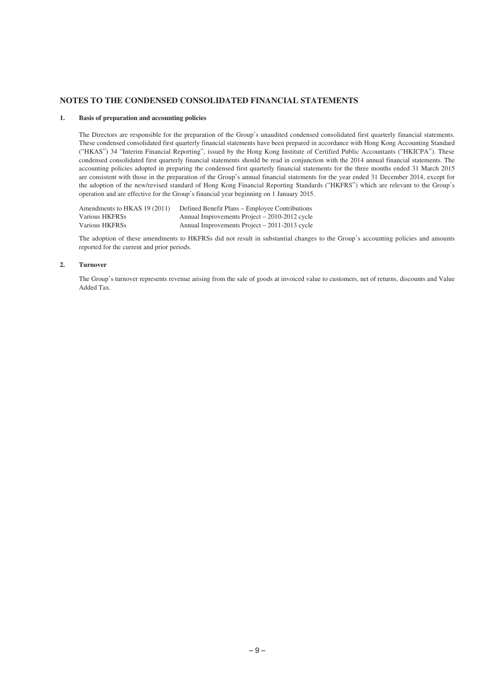#### **NOTES TO THE CONDENSED CONSOLIDATED FINANCIAL STATEMENTS**

#### **1. Basis of preparation and accounting policies**

The Directors are responsible for the preparation of the Group's unaudited condensed consolidated first quarterly financial statements. These condensed consolidated first quarterly financial statements have been prepared in accordance with Hong Kong Accounting Standard ("HKAS") 34 "Interim Financial Reporting", issued by the Hong Kong Institute of Certified Public Accountants ("HKICPA"). These condensed consolidated first quarterly financial statements should be read in conjunction with the 2014 annual financial statements. The accounting policies adopted in preparing the condensed first quarterly financial statements for the three months ended 31 March 2015 are consistent with those in the preparation of the Group's annual financial statements for the year ended 31 December 2014, except for the adoption of the new/revised standard of Hong Kong Financial Reporting Standards ("HKFRS") which are relevant to the Group's operation and are effective for the Group's financial year beginning on 1 January 2015.

Amendments to HKAS 19 (2011) Defined Benefit Plans – Employee Contributions<br>Various HKFRSs Annual Improvements Project – 2010-2012 cycle Annual Improvements Project –  $2010-2012$  cycle Various HKFRSs Annual Improvements Project – 2011-2013 cycle

The adoption of these amendments to HKFRSs did not result in substantial changes to the Group's accounting policies and amounts reported for the current and prior periods.

#### **2. Turnover**

The Group's turnover represents revenue arising from the sale of goods at invoiced value to customers, net of returns, discounts and Value Added Tax.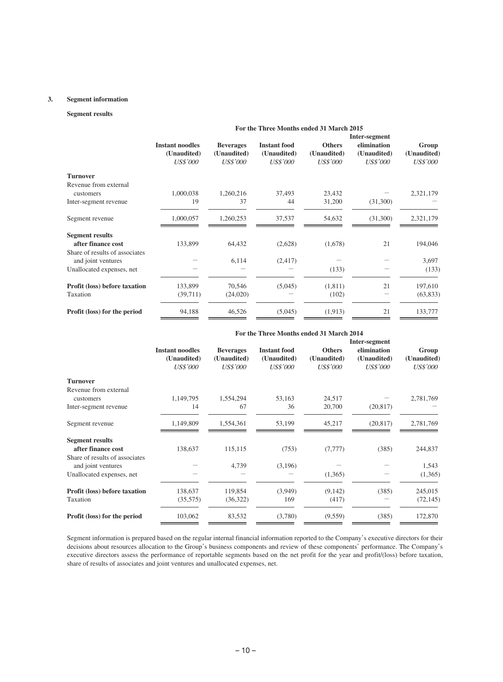#### **3. Segment information**

#### **Segment results**

|                                | For the Three Months ended 31 March 2015 |                  |                     |                 |                 |                 |  |  |
|--------------------------------|------------------------------------------|------------------|---------------------|-----------------|-----------------|-----------------|--|--|
|                                | Inter-segment                            |                  |                     |                 |                 |                 |  |  |
|                                | <b>Instant noodles</b>                   | <b>Beverages</b> | <b>Instant food</b> | <b>Others</b>   | elimination     | Group           |  |  |
|                                | (Unaudited)                              | (Unaudited)      | (Unaudited)         | (Unaudited)     | (Unaudited)     | (Unaudited)     |  |  |
|                                | <b>US\$'000</b>                          | <i>US\$'000</i>  | <i>US\$'000</i>     | <i>US\$'000</i> | <b>US\$'000</b> | <i>US\$'000</i> |  |  |
| <b>Turnover</b>                |                                          |                  |                     |                 |                 |                 |  |  |
| Revenue from external          |                                          |                  |                     |                 |                 |                 |  |  |
| customers                      | 1,000,038                                | 1,260,216        | 37,493              | 23,432          |                 | 2,321,179       |  |  |
| Inter-segment revenue          | 19                                       | 37               | 44                  | 31,200          | (31,300)        |                 |  |  |
| Segment revenue                | 1,000,057                                | 1,260,253        | 37,537              | 54,632          | (31,300)        | 2,321,179       |  |  |
| <b>Segment results</b>         |                                          |                  |                     |                 |                 |                 |  |  |
| after finance cost             | 133,899                                  | 64,432           | (2,628)             | (1,678)         | 21              | 194,046         |  |  |
| Share of results of associates |                                          |                  |                     |                 |                 |                 |  |  |
| and joint ventures             |                                          | 6,114            | (2, 417)            |                 |                 | 3,697           |  |  |
| Unallocated expenses, net      |                                          |                  |                     | (133)           |                 | (133)           |  |  |
| Profit (loss) before taxation  | 133,899                                  | 70,546           | (5,045)             | (1,811)         | 21              | 197,610         |  |  |
| Taxation                       | (39,711)                                 | (24,020)         |                     | (102)           |                 | (63, 833)       |  |  |
| Profit (loss) for the period   | 94,188                                   | 46,526           | (5,045)             | (1,913)         | 21              | 133,777         |  |  |

## **For the Three Months ended 31 March 2014**

|                                | <b>Instant noodles</b><br>(Unaudited)<br><b>US\$'000</b> |                                                    |                                                       | Inter-segment                                   |                                               |                                         |
|--------------------------------|----------------------------------------------------------|----------------------------------------------------|-------------------------------------------------------|-------------------------------------------------|-----------------------------------------------|-----------------------------------------|
|                                |                                                          | <b>Beverages</b><br>(Unaudited)<br><i>US\$'000</i> | <b>Instant food</b><br>(Unaudited)<br><b>US\$'000</b> | <b>Others</b><br>(Unaudited)<br><b>US\$'000</b> | elimination<br>(Unaudited)<br><b>US\$'000</b> | Group<br>(Unaudited)<br><i>US\$'000</i> |
| <b>Turnover</b>                |                                                          |                                                    |                                                       |                                                 |                                               |                                         |
| Revenue from external          |                                                          |                                                    |                                                       |                                                 |                                               |                                         |
| customers                      | 1,149,795                                                | 1,554,294                                          | 53,163                                                | 24,517                                          |                                               | 2,781,769                               |
| Inter-segment revenue          | 14                                                       | 67                                                 | 36                                                    | 20,700                                          | (20, 817)                                     |                                         |
| Segment revenue                | 1,149,809                                                | 1,554,361                                          | 53,199                                                | 45,217                                          | (20, 817)                                     | 2,781,769                               |
| <b>Segment results</b>         |                                                          |                                                    |                                                       |                                                 |                                               |                                         |
| after finance cost             | 138,637                                                  | 115,115                                            | (753)                                                 | (7,777)                                         | (385)                                         | 244,837                                 |
| Share of results of associates |                                                          |                                                    |                                                       |                                                 |                                               |                                         |
| and joint ventures             |                                                          | 4,739                                              | (3,196)                                               |                                                 |                                               | 1,543                                   |
| Unallocated expenses, net      |                                                          |                                                    |                                                       | (1,365)                                         |                                               | (1,365)                                 |
| Profit (loss) before taxation  | 138,637                                                  | 119,854                                            | (3,949)                                               | (9,142)                                         | (385)                                         | 245,015                                 |
| Taxation                       | (35,575)                                                 | (36,322)                                           | 169                                                   | (417)                                           |                                               | (72, 145)                               |
| Profit (loss) for the period   | 103,062                                                  | 83,532                                             | (3,780)                                               | (9,559)                                         | (385)                                         | 172,870                                 |

Segment information is prepared based on the regular internal financial information reported to the Company's executive directors for their decisions about resources allocation to the Group's business components and review of these components' performance. The Company's executive directors assess the performance of reportable segments based on the net profit for the year and profit/(loss) before taxation, share of results of associates and joint ventures and unallocated expenses, net.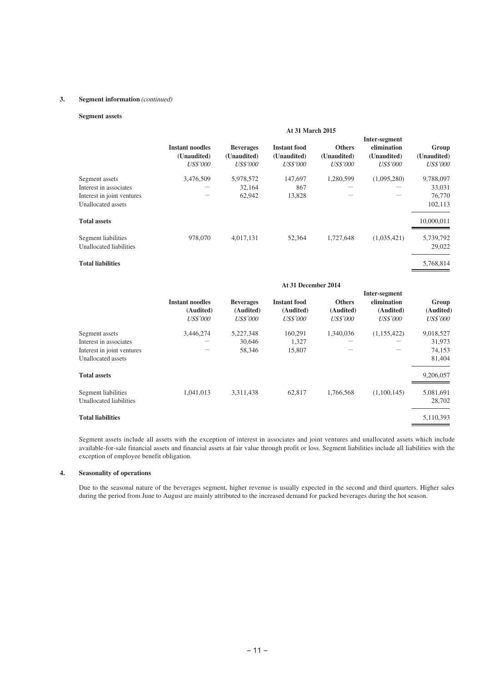#### **3. Segment information** (continued)

# **Segment assets**

|                                                                                              | <b>At 31 March 2015</b>                                  |                                                    |                                                       |                                                 |                                                                |                                          |
|----------------------------------------------------------------------------------------------|----------------------------------------------------------|----------------------------------------------------|-------------------------------------------------------|-------------------------------------------------|----------------------------------------------------------------|------------------------------------------|
|                                                                                              | <b>Instant noodles</b><br>(Unaudited)<br><b>US\$'000</b> | <b>Beverages</b><br>(Unaudited)<br><i>US\$'000</i> | <b>Instant food</b><br>(Unaudited)<br><b>US\$'000</b> | <b>Others</b><br>(Unaudited)<br><b>US\$'000</b> | Inter-segment<br>elimination<br>(Unaudited)<br><b>US\$'000</b> | Group<br>(Unaudited)<br><i>US\$'000</i>  |
| Segment assets<br>Interest in associates<br>Interest in joint ventures<br>Unallocated assets | 3,476,509                                                | 5,978,572<br>32,164<br>62,942                      | 147,697<br>867<br>13,828                              | 1,280,599                                       | (1,095,280)                                                    | 9,788,097<br>33,031<br>76,770<br>102,113 |
| <b>Total assets</b>                                                                          |                                                          |                                                    |                                                       |                                                 |                                                                | 10,000,011                               |
| Segment liabilities<br>Unallocated liabilities                                               | 978,070                                                  | 4.017.131                                          | 52.364                                                | 1,727,648                                       | (1,035,421)                                                    | 5,739,792<br>29,022                      |
| <b>Total liabilities</b>                                                                     |                                                          |                                                    |                                                       |                                                 |                                                                | 5,768,814                                |

|                            |                                                        | At 31 December 2014                              |                                                     |                                               |                                                              |                                       |
|----------------------------|--------------------------------------------------------|--------------------------------------------------|-----------------------------------------------------|-----------------------------------------------|--------------------------------------------------------------|---------------------------------------|
|                            | <b>Instant noodles</b><br>(Audited)<br><b>US\$'000</b> | <b>Beverages</b><br>(Audited)<br><b>US\$'000</b> | <b>Instant food</b><br>(Audited)<br><i>US\$'000</i> | <b>Others</b><br>(Audited)<br><i>US\$'000</i> | Inter-segment<br>elimination<br>(Audited)<br><b>US\$'000</b> | Group<br>(Audited)<br><i>US\$'000</i> |
| Segment assets             | 3,446,274                                              | 5,227,348                                        | 160,291                                             | 1,340,036                                     | (1,155,422)                                                  | 9,018,527                             |
| Interest in associates     |                                                        | 30,646                                           | 1,327                                               |                                               |                                                              | 31,973                                |
| Interest in joint ventures |                                                        | 58,346                                           | 15,807                                              |                                               |                                                              | 74,153                                |
| Unallocated assets         |                                                        |                                                  |                                                     |                                               |                                                              | 81,404                                |
| <b>Total assets</b>        |                                                        |                                                  |                                                     |                                               |                                                              | 9,206,057                             |
| Segment liabilities        | 1,041,013                                              | 3,311,438                                        | 62,817                                              | 1,766,568                                     | (1,100,145)                                                  | 5,081,691                             |
| Unallocated liabilities    |                                                        |                                                  |                                                     |                                               |                                                              | 28,702                                |
| <b>Total liabilities</b>   |                                                        |                                                  |                                                     |                                               |                                                              | 5,110,393                             |

Segment assets include all assets with the exception of interest in associates and joint ventures and unallocated assets which include available-for-sale financial assets and financial assets at fair value through profit or loss. Segment liabilities include all liabilities with the exception of employee benefit obligation.

### **4. Seasonality of operations**

Due to the seasonal nature of the beverages segment, higher revenue is usually expected in the second and third quarters. Higher sales during the period from June to August are mainly attributed to the increased demand for packed beverages during the hot season.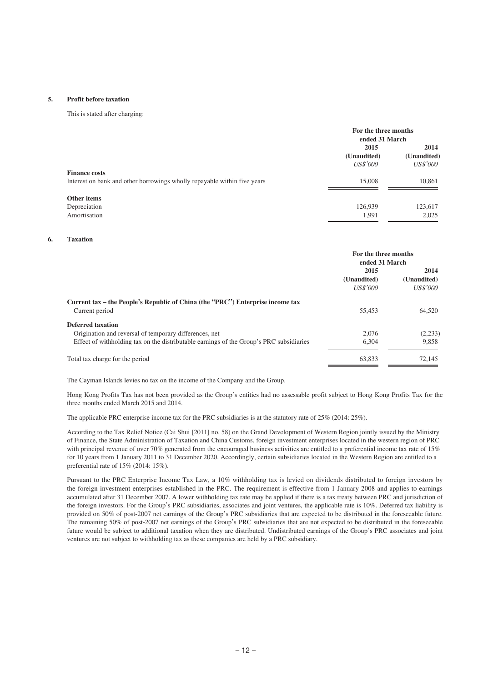#### **5. Profit before taxation**

This is stated after charging:

|                                                                                                  | For the three months<br>ended 31 March |                                        |
|--------------------------------------------------------------------------------------------------|----------------------------------------|----------------------------------------|
|                                                                                                  | 2015<br>(Unaudited)<br><i>US\$'000</i> | 2014<br>(Unaudited)<br><i>US\$'000</i> |
| <b>Finance costs</b><br>Interest on bank and other borrowings wholly repayable within five years | 15,008                                 | 10,861                                 |
| Other items<br>Depreciation<br>Amortisation                                                      | 126,939<br>1.991                       | 123,617<br>2,025                       |

#### **6. Taxation**

|                                                                                                                                                                               | For the three months<br>ended 31 March |                                        |
|-------------------------------------------------------------------------------------------------------------------------------------------------------------------------------|----------------------------------------|----------------------------------------|
|                                                                                                                                                                               | 2015<br>(Unaudited)<br><b>US\$'000</b> | 2014<br>(Unaudited)<br><i>US\$'000</i> |
| Current tax – the People's Republic of China (the "PRC") Enterprise income tax<br>Current period                                                                              | 55,453                                 | 64.520                                 |
| <b>Deferred taxation</b><br>Origination and reversal of temporary differences, net<br>Effect of withholding tax on the distributable earnings of the Group's PRC subsidiaries | 2.076<br>6.304                         | (2,233)<br>9.858                       |
| Total tax charge for the period                                                                                                                                               | 63,833                                 | 72,145                                 |

The Cayman Islands levies no tax on the income of the Company and the Group.

Hong Kong Profits Tax has not been provided as the Group's entities had no assessable profit subject to Hong Kong Profits Tax for the three months ended March 2015 and 2014.

The applicable PRC enterprise income tax for the PRC subsidiaries is at the statutory rate of 25% (2014: 25%).

According to the Tax Relief Notice (Cai Shui [2011] no. 58) on the Grand Development of Western Region jointly issued by the Ministry of Finance, the State Administration of Taxation and China Customs, foreign investment enterprises located in the western region of PRC with principal revenue of over 70% generated from the encouraged business activities are entitled to a preferential income tax rate of 15% for 10 years from 1 January 2011 to 31 December 2020. Accordingly, certain subsidiaries located in the Western Region are entitled to a preferential rate of 15% (2014: 15%).

Pursuant to the PRC Enterprise Income Tax Law, a 10% withholding tax is levied on dividends distributed to foreign investors by the foreign investment enterprises established in the PRC. The requirement is effective from 1 January 2008 and applies to earnings accumulated after 31 December 2007. A lower withholding tax rate may be applied if there is a tax treaty between PRC and jurisdiction of the foreign investors. For the Group's PRC subsidiaries, associates and joint ventures, the applicable rate is 10%. Deferred tax liability is provided on 50% of post-2007 net earnings of the Group's PRC subsidiaries that are expected to be distributed in the foreseeable future. The remaining 50% of post-2007 net earnings of the Group's PRC subsidiaries that are not expected to be distributed in the foreseeable future would be subject to additional taxation when they are distributed. Undistributed earnings of the Group's PRC associates and joint ventures are not subject to withholding tax as these companies are held by a PRC subsidiary.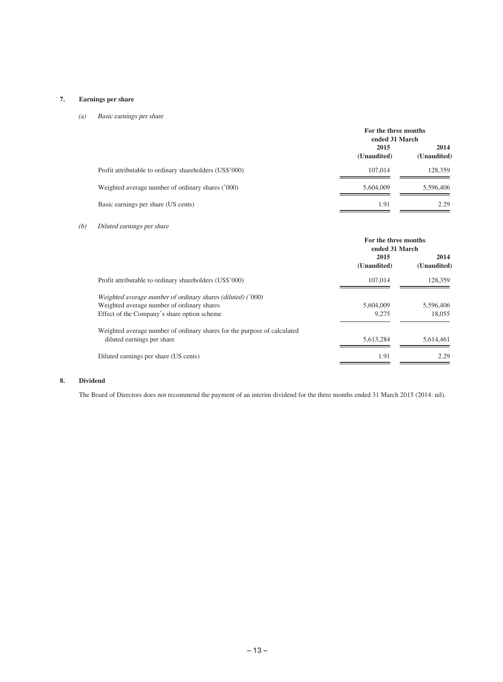# **7. Earnings per share**

# (a) Basic earnings per share

|                                                         | For the three months<br>ended 31 March |                     |
|---------------------------------------------------------|----------------------------------------|---------------------|
|                                                         | 2015<br>(Unaudited)                    | 2014<br>(Unaudited) |
| Profit attributable to ordinary shareholders (US\$'000) | 107,014                                | 128,359             |
| Weighted average number of ordinary shares ('000)       | 5.604,009                              | 5,596,406           |
| Basic earnings per share (US cents)                     | 1.91                                   | 2.29                |

# (b) Diluted earnings per share

|                                                                                                                                                          | For the three months<br>ended 31 March |                     |
|----------------------------------------------------------------------------------------------------------------------------------------------------------|----------------------------------------|---------------------|
|                                                                                                                                                          | 2015<br>(Unaudited)                    | 2014<br>(Unaudited) |
| Profit attributable to ordinary shareholders (US\$'000)                                                                                                  | 107.014                                | 128,359             |
| Weighted average number of ordinary shares (diluted) ('000)<br>Weighted average number of ordinary shares<br>Effect of the Company's share option scheme | 5,604,009<br>9.275                     | 5,596,406<br>18,055 |
| Weighted average number of ordinary shares for the purpose of calculated<br>diluted earnings per share                                                   | 5.613.284                              | 5,614,461           |
| Diluted earnings per share (US cents)                                                                                                                    | 1.91                                   | 2.29                |

# **8. Dividend**

The Board of Directors does not recommend the payment of an interim dividend for the three months ended 31 March 2015 (2014: nil).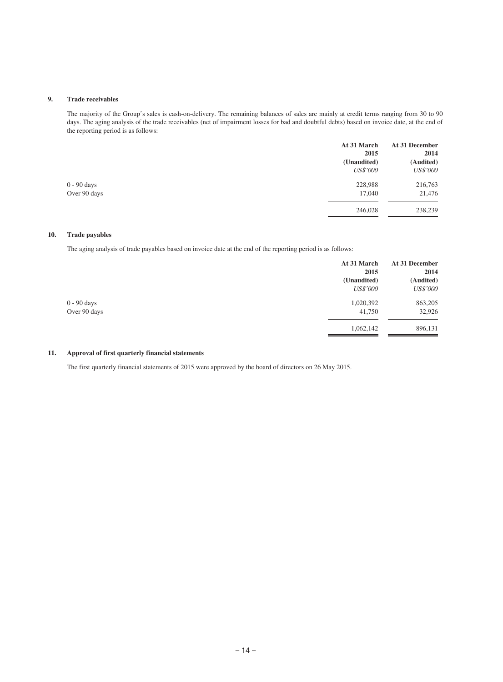### **9. Trade receivables**

The majority of the Group's sales is cash-on-delivery. The remaining balances of sales are mainly at credit terms ranging from 30 to 90 days. The aging analysis of the trade receivables (net of impairment losses for bad and doubtful debts) based on invoice date, at the end of the reporting period is as follows:

| At 31 March     | At 31 December<br>2014 |
|-----------------|------------------------|
| (Unaudited)     | (Audited)              |
| <b>US\$'000</b> | <i>US\$'000</i>        |
| 228,988         | 216,763                |
| 17,040          | 21,476                 |
| 246,028         | 238,239                |
|                 | 2015                   |

#### **10. Trade payables**

The aging analysis of trade payables based on invoice date at the end of the reporting period is as follows:

|              | At 31 March<br>2015 | At 31 December<br>2014 |
|--------------|---------------------|------------------------|
|              | (Unaudited)         | (Audited)              |
|              | <i>US\$'000</i>     | <b>US\$'000</b>        |
| 0 - 90 days  | 1,020,392           | 863,205                |
| Over 90 days | 41,750              | 32,926                 |
|              | 1,062,142           | 896,131                |

### **11. Approval of first quarterly financial statements**

The first quarterly financial statements of 2015 were approved by the board of directors on 26 May 2015.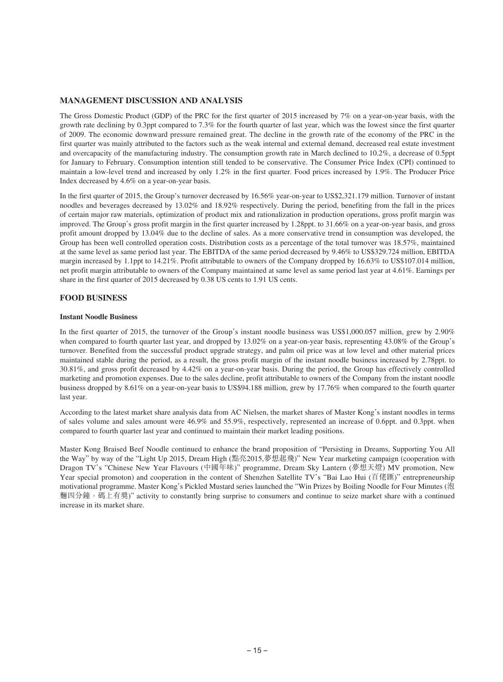## **MANAGEMENT DISCUSSION AND ANALYSIS**

The Gross Domestic Product (GDP) of the PRC for the first quarter of 2015 increased by 7% on a year-on-year basis, with the growth rate declining by 0.3ppt compared to 7.3% for the fourth quarter of last year, which was the lowest since the first quarter of 2009. The economic downward pressure remained great. The decline in the growth rate of the economy of the PRC in the first quarter was mainly attributed to the factors such as the weak internal and external demand, decreased real estate investment and overcapacity of the manufacturing industry. The consumption growth rate in March declined to 10.2%, a decrease of 0.5ppt for January to February. Consumption intention still tended to be conservative. The Consumer Price Index (CPI) continued to maintain a low-level trend and increased by only 1.2% in the first quarter. Food prices increased by 1.9%. The Producer Price Index decreased by 4.6% on a year-on-year basis.

In the first quarter of 2015, the Group's turnover decreased by 16.56% year-on-year to US\$2,321.179 million. Turnover of instant noodles and beverages decreased by 13.02% and 18.92% respectively. During the period, benefiting from the fall in the prices of certain major raw materials, optimization of product mix and rationalization in production operations, gross profit margin was improved. The Group's gross profit margin in the first quarter increased by 1.28ppt. to 31.66% on a year-on-year basis, and gross profit amount dropped by 13.04% due to the decline of sales. As a more conservative trend in consumption was developed, the Group has been well controlled operation costs. Distribution costs as a percentage of the total turnover was 18.57%, maintained at the same level as same period last year. The EBITDA of the same period decreased by 9.46% to US\$329.724 million, EBITDA margin increased by 1.1ppt to 14.21%. Profit attributable to owners of the Company dropped by 16.63% to US\$107.014 million, net profit margin attributable to owners of the Company maintained at same level as same period last year at 4.61%. Earnings per share in the first quarter of 2015 decreased by 0.38 US cents to 1.91 US cents.

## **FOOD BUSINESS**

## **Instant Noodle Business**

In the first quarter of 2015, the turnover of the Group's instant noodle business was US\$1,000.057 million, grew by 2.90% when compared to fourth quarter last year, and dropped by 13.02% on a year-on-year basis, representing 43.08% of the Group's turnover. Benefited from the successful product upgrade strategy, and palm oil price was at low level and other material prices maintained stable during the period, as a result, the gross profit margin of the instant noodle business increased by 2.78ppt. to 30.81%, and gross profit decreased by 4.42% on a year-on-year basis. During the period, the Group has effectively controlled marketing and promotion expenses. Due to the sales decline, profit attributable to owners of the Company from the instant noodle business dropped by 8.61% on a year-on-year basis to US\$94.188 million, grew by 17.76% when compared to the fourth quarter last year.

According to the latest market share analysis data from AC Nielsen, the market shares of Master Kong's instant noodles in terms of sales volume and sales amount were 46.9% and 55.9%, respectively, represented an increase of 0.6ppt. and 0.3ppt. when compared to fourth quarter last year and continued to maintain their market leading positions.

Master Kong Braised Beef Noodle continued to enhance the brand proposition of "Persisting in Dreams, Supporting You All the Way" by way of the "Light Up 2015, Dream High (點亮2015,夢想起飛)" New Year marketing campaign (cooperation with Dragon TV's "Chinese New Year Flavours (中國年味)" programme, Dream Sky Lantern (夢想天燈) MV promotion, New Year special promoton) and cooperation in the content of Shenzhen Satellite TV's "Bai Lao Hui (百佬匯)" entrepreneurship motivational programme. Master Kong's Pickled Mustard series launched the "Win Prizes by Boiling Noodle for Four Minutes (泡 麵四分鐘,碼上有獎)" activity to constantly bring surprise to consumers and continue to seize market share with a continued increase in its market share.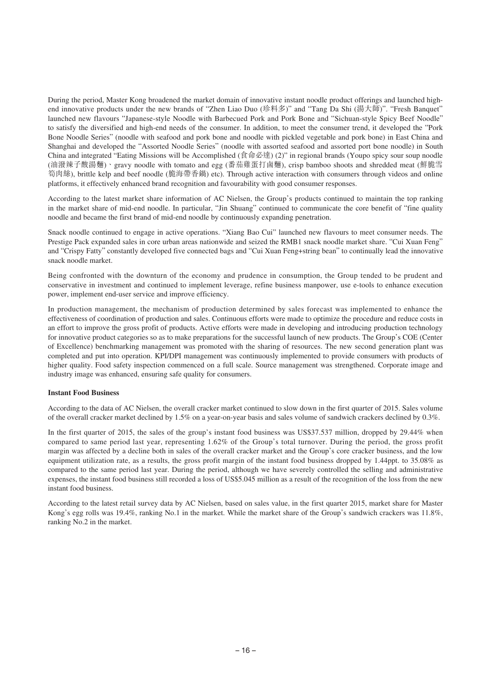During the period, Master Kong broadened the market domain of innovative instant noodle product offerings and launched highend innovative products under the new brands of "Zhen Liao Duo (珍料多)" and "Tang Da Shi (湯大師)". "Fresh Banquet" launched new flavours "Japanese-style Noodle with Barbecued Pork and Pork Bone and "Sichuan-style Spicy Beef Noodle" to satisfy the diversified and high-end needs of the consumer. In addition, to meet the consumer trend, it developed the "Pork Bone Noodle Series" (noodle with seafood and pork bone and noodle with pickled vegetable and pork bone) in East China and Shanghai and developed the "Assorted Noodle Series" (noodle with assorted seafood and assorted port bone noodle) in South China and integrated "Eating Missions will be Accomplished (食命必達) (2)" in regional brands (Youpo spicy sour soup noodle (油潑辣子酸湯麵)、gravy noodle with tomato and egg (番茄雞蛋打鹵麵), crisp bamboo shoots and shredded meat (鮮脆雪 筍肉絲), brittle kelp and beef noodle (脆海帶香鍋) etc). Through active interaction with consumers through videos and online platforms, it effectively enhanced brand recognition and favourability with good consumer responses.

According to the latest market share information of AC Nielsen, the Group's products continued to maintain the top ranking in the market share of mid-end noodle. In particular, "Jin Shuang" continued to communicate the core benefit of "fine quality noodle and became the first brand of mid-end noodle by continuously expanding penetration.

Snack noodle continued to engage in active operations. "Xiang Bao Cui" launched new flavours to meet consumer needs. The Prestige Pack expanded sales in core urban areas nationwide and seized the RMB1 snack noodle market share. "Cui Xuan Feng" and "Crispy Fatty" constantly developed five connected bags and "Cui Xuan Feng+string bean" to continually lead the innovative snack noodle market.

Being confronted with the downturn of the economy and prudence in consumption, the Group tended to be prudent and conservative in investment and continued to implement leverage, refine business manpower, use e-tools to enhance execution power, implement end-user service and improve efficiency.

In production management, the mechanism of production determined by sales forecast was implemented to enhance the effectiveness of coordination of production and sales. Continuous efforts were made to optimize the procedure and reduce costs in an effort to improve the gross profit of products. Active efforts were made in developing and introducing production technology for innovative product categories so as to make preparations for the successful launch of new products. The Group's COE (Center of Excellence) benchmarking management was promoted with the sharing of resources. The new second generation plant was completed and put into operation. KPI/DPI management was continuously implemented to provide consumers with products of higher quality. Food safety inspection commenced on a full scale. Source management was strengthened. Corporate image and industry image was enhanced, ensuring safe quality for consumers.

#### **Instant Food Business**

According to the data of AC Nielsen, the overall cracker market continued to slow down in the first quarter of 2015. Sales volume of the overall cracker market declined by 1.5% on a year-on-year basis and sales volume of sandwich crackers declined by 0.3%.

In the first quarter of 2015, the sales of the group's instant food business was US\$37.537 million, dropped by 29.44% when compared to same period last year, representing 1.62% of the Group's total turnover. During the period, the gross profit margin was affected by a decline both in sales of the overall cracker market and the Group's core cracker business, and the low equipment utilization rate, as a results, the gross profit margin of the instant food business dropped by 1.44ppt. to 35.08% as compared to the same period last year. During the period, although we have severely controlled the selling and administrative expenses, the instant food business still recorded a loss of US\$5.045 million as a result of the recognition of the loss from the new instant food business.

According to the latest retail survey data by AC Nielsen, based on sales value, in the first quarter 2015, market share for Master Kong's egg rolls was 19.4%, ranking No.1 in the market. While the market share of the Group's sandwich crackers was 11.8%, ranking No.2 in the market.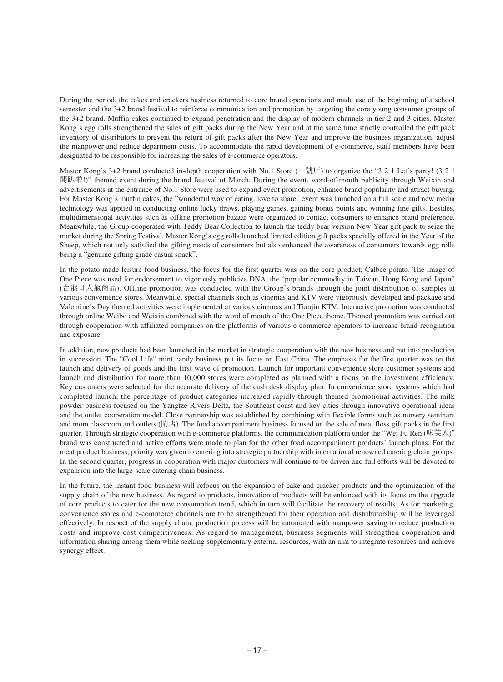During the period, the cakes and crackers business returned to core brand operations and made use of the beginning of a school semester and the 3+2 brand festival to reinforce communication and promotion by targeting the core young consumer groups of the 3+2 brand. Muffin cakes continued to expand penetration and the display of modern channels in tier 2 and 3 cities. Master Kong's egg rolls strengthened the sales of gift packs during the New Year and at the same time strictly controlled the gift pack inventory of distributors to prevent the return of gift packs after the New Year and improve the business organization, adjust the manpower and reduce department costs. To accommodate the rapid development of e-commerce, staff members have been designated to be responsible for increasing the sales of e-commerce operators.

Master Kong's 3+2 brand conducted in-depth cooperation with No.1 Store (一號店) to organize the "3 2 1 Let's party! (3 2 1 開趴啦!)" themed event during the brand festival of March. During the event, word-of-mouth publicity through Weixin and advertisements at the entrance of No.1 Store were used to expand event promotion, enhance brand popularity and attract buying. For Master Kong's muffin cakes, the "wonderful way of eating, love to share" event was launched on a full scale and new media technology was applied in conducting online lucky draws, playing games, gaining bonus points and winning fine gifts. Besides, multidimensional activities such as offline promotion bazaar were organized to contact consumers to enhance brand preference. Meanwhile, the Group cooperated with Teddy Bear Collection to launch the teddy bear version New Year gift pack to seize the market during the Spring Festival. Master Kong's egg rolls launched limited edition gift packs specially offered in the Year of the Sheep, which not only satisfied the gifting needs of consumers but also enhanced the awareness of consumers towards egg rolls being a "genuine gifting grade casual snack".

In the potato made leisure food business, the focus for the first quarter was on the core product, Calbee potato. The image of One Piece was used for endorsement to vigorously publicize DNA, the "popular commodity in Taiwan, Hong Kong and Japan" (台港日人氣商品). Offline promotion was conducted with the Group's brands through the joint distribution of samples at various convenience stores. Meanwhile, special channels such as cinemas and KTV were vigorously developed and package and Valentine's Day themed activities were implemented at various cinemas and Tianjin KTV. Interactive promotion was conducted through online Weibo and Weixin combined with the word of mouth of the One Piece theme. Themed promotion was carried out through cooperation with affiliated companies on the platforms of various e-commerce operators to increase brand recognition and exposure.

In addition, new products had been launched in the market in strategic cooperation with the new business and put into production in succession. The "Cool Life" mint candy business put its focus on East China. The emphasis for the first quarter was on the launch and delivery of goods and the first wave of promotion. Launch for important convenience store customer systems and launch and distribution for more than 10,000 stores were completed as planned with a focus on the investment efficiency. Key customers were selected for the accurate delivery of the cash desk display plan. In convenience store systems which had completed launch, the percentage of product categories increased rapidly through themed promotional activities. The milk powder business focused on the Yangtze Rivers Delta, the Southeast coast and key cities through innovative operational ideas and the outlet cooperation model. Close partnership was established by combining with flexible forms such as nursery seminars and mom classroom and outlets (閘店). The food accompaniment business focused on the sale of meat floss gift packs in the first quarter. Through strategic cooperation with e-commerce platforms, the communication platform under the "Wei Fu Ren (味芙人)" brand was constructed and active efforts were made to plan for the other food accompaniment products' launch plans. For the meat product business, priority was given to entering into strategic partnership with international renowned catering chain groups. In the second quarter, progress in cooperation with major customers will continue to be driven and full efforts will be devoted to expansion into the large-scale catering chain business.

In the future, the instant food business will refocus on the expansion of cake and cracker products and the optimization of the supply chain of the new business. As regard to products, innovation of products will be enhanced with its focus on the upgrade of core products to cater for the new consumption trend, which in turn will facilitate the recovery of results. As for marketing, convenience stores and e-commerce channels are to be strengthened for their operation and distributorship will be leveraged effectively. In respect of the supply chain, production process will be automated with manpower saving to reduce production costs and improve cost competitiveness. As regard to management, business segments will strengthen cooperation and information sharing among them while seeking supplementary external resources, with an aim to integrate resources and achieve synergy effect.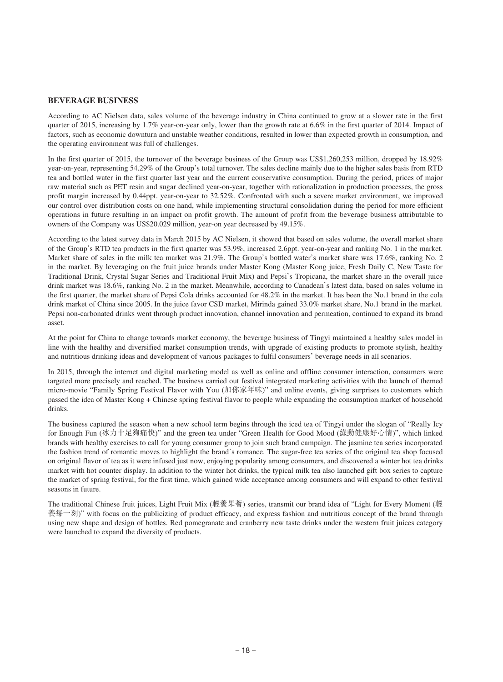## **BEVERAGE BUSINESS**

According to AC Nielsen data, sales volume of the beverage industry in China continued to grow at a slower rate in the first quarter of 2015, increasing by 1.7% year-on-year only, lower than the growth rate at 6.6% in the first quarter of 2014. Impact of factors, such as economic downturn and unstable weather conditions, resulted in lower than expected growth in consumption, and the operating environment was full of challenges.

In the first quarter of 2015, the turnover of the beverage business of the Group was US\$1,260,253 million, dropped by 18.92% year-on-year, representing 54.29% of the Group's total turnover. The sales decline mainly due to the higher sales basis from RTD tea and bottled water in the first quarter last year and the current conservative consumption. During the period, prices of major raw material such as PET resin and sugar declined year-on-year, together with rationalization in production processes, the gross profit margin increased by 0.44ppt. year-on-year to 32.52%. Confronted with such a severe market environment, we improved our control over distribution costs on one hand, while implementing structural consolidation during the period for more efficient operations in future resulting in an impact on profit growth. The amount of profit from the beverage business attributable to owners of the Company was US\$20.029 million, year-on year decreased by 49.15%.

According to the latest survey data in March 2015 by AC Nielsen, it showed that based on sales volume, the overall market share of the Group's RTD tea products in the first quarter was 53.9%, increased 2.6ppt. year-on-year and ranking No. 1 in the market. Market share of sales in the milk tea market was 21.9%. The Group's bottled water's market share was 17.6%, ranking No. 2 in the market. By leveraging on the fruit juice brands under Master Kong (Master Kong juice, Fresh Daily C, New Taste for Traditional Drink, Crystal Sugar Series and Traditional Fruit Mix) and Pepsi's Tropicana, the market share in the overall juice drink market was 18.6%, ranking No. 2 in the market. Meanwhile, according to Canadean's latest data, based on sales volume in the first quarter, the market share of Pepsi Cola drinks accounted for 48.2% in the market. It has been the No.1 brand in the cola drink market of China since 2005. In the juice favor CSD market, Mirinda gained 33.0% market share, No.1 brand in the market. Pepsi non-carbonated drinks went through product innovation, channel innovation and permeation, continued to expand its brand asset.

At the point for China to change towards market economy, the beverage business of Tingyi maintained a healthy sales model in line with the healthy and diversified market consumption trends, with upgrade of existing products to promote stylish, healthy and nutritious drinking ideas and development of various packages to fulfil consumers' beverage needs in all scenarios.

In 2015, through the internet and digital marketing model as well as online and offline consumer interaction, consumers were targeted more precisely and reached. The business carried out festival integrated marketing activities with the launch of themed micro-movie "Family Spring Festival Flavor with You (加你家年味)" and online events, giving surprises to customers which passed the idea of Master Kong + Chinese spring festival flavor to people while expanding the consumption market of household drinks.

The business captured the season when a new school term begins through the iced tea of Tingyi under the slogan of "Really Icy for Enough Fun (冰力十足夠痛快)" and the green tea under "Green Health for Good Mood (綠動健康好心情)", which linked brands with healthy exercises to call for young consumer group to join such brand campaign. The jasmine tea series incorporated the fashion trend of romantic moves to highlight the brand's romance. The sugar-free tea series of the original tea shop focused on original flavor of tea as it were infused just now, enjoying popularity among consumers, and discovered a winter hot tea drinks market with hot counter display. In addition to the winter hot drinks, the typical milk tea also launched gift box series to capture the market of spring festival, for the first time, which gained wide acceptance among consumers and will expand to other festival seasons in future.

The traditional Chinese fruit juices, Light Fruit Mix (輕養果薈) series, transmit our brand idea of "Light for Every Moment (輕 養每一刻)" with focus on the publicizing of product efficacy, and express fashion and nutritious concept of the brand through using new shape and design of bottles. Red pomegranate and cranberry new taste drinks under the western fruit juices category were launched to expand the diversity of products.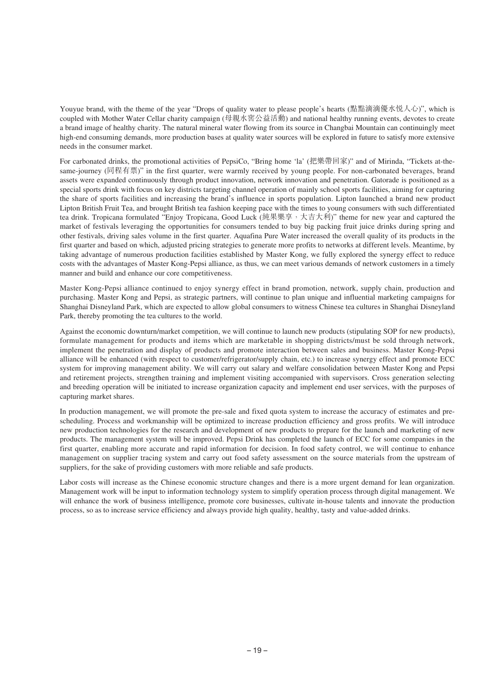Youyue brand, with the theme of the year "Drops of quality water to please people's hearts (點點滴滴優水悦人心)", which is coupled with Mother Water Cellar charity campaign (母親水窖公益活動) and national healthy running events, devotes to create a brand image of healthy charity. The natural mineral water flowing from its source in Changbai Mountain can continuingly meet high-end consuming demands, more production bases at quality water sources will be explored in future to satisfy more extensive needs in the consumer market.

For carbonated drinks, the promotional activities of PepsiCo, "Bring home 'la' (把樂帶回家)" and of Mirinda, "Tickets at-thesame-journey (同程有票)" in the first quarter, were warmly received by young people. For non-carbonated beverages, brand assets were expanded continuously through product innovation, network innovation and penetration. Gatorade is positioned as a special sports drink with focus on key districts targeting channel operation of mainly school sports facilities, aiming for capturing the share of sports facilities and increasing the brand's influence in sports population. Lipton launched a brand new product Lipton British Fruit Tea, and brought British tea fashion keeping pace with the times to young consumers with such differentiated tea drink. Tropicana formulated "Enjoy Tropicana, Good Luck (純果樂享,大吉大利)" theme for new year and captured the market of festivals leveraging the opportunities for consumers tended to buy big packing fruit juice drinks during spring and other festivals, driving sales volume in the first quarter. Aquafina Pure Water increased the overall quality of its products in the first quarter and based on which, adjusted pricing strategies to generate more profits to networks at different levels. Meantime, by taking advantage of numerous production facilities established by Master Kong, we fully explored the synergy effect to reduce costs with the advantages of Master Kong-Pepsi alliance, as thus, we can meet various demands of network customers in a timely manner and build and enhance our core competitiveness.

Master Kong-Pepsi alliance continued to enjoy synergy effect in brand promotion, network, supply chain, production and purchasing. Master Kong and Pepsi, as strategic partners, will continue to plan unique and influential marketing campaigns for Shanghai Disneyland Park, which are expected to allow global consumers to witness Chinese tea cultures in Shanghai Disneyland Park, thereby promoting the tea cultures to the world.

Against the economic downturn/market competition, we will continue to launch new products (stipulating SOP for new products), formulate management for products and items which are marketable in shopping districts/must be sold through network, implement the penetration and display of products and promote interaction between sales and business. Master Kong-Pepsi alliance will be enhanced (with respect to customer/refrigerator/supply chain, etc.) to increase synergy effect and promote ECC system for improving management ability. We will carry out salary and welfare consolidation between Master Kong and Pepsi and retirement projects, strengthen training and implement visiting accompanied with supervisors. Cross generation selecting and breeding operation will be initiated to increase organization capacity and implement end user services, with the purposes of capturing market shares.

In production management, we will promote the pre-sale and fixed quota system to increase the accuracy of estimates and prescheduling. Process and workmanship will be optimized to increase production efficiency and gross profits. We will introduce new production technologies for the research and development of new products to prepare for the launch and marketing of new products. The management system will be improved. Pepsi Drink has completed the launch of ECC for some companies in the first quarter, enabling more accurate and rapid information for decision. In food safety control, we will continue to enhance management on supplier tracing system and carry out food safety assessment on the source materials from the upstream of suppliers, for the sake of providing customers with more reliable and safe products.

Labor costs will increase as the Chinese economic structure changes and there is a more urgent demand for lean organization. Management work will be input to information technology system to simplify operation process through digital management. We will enhance the work of business intelligence, promote core businesses, cultivate in-house talents and innovate the production process, so as to increase service efficiency and always provide high quality, healthy, tasty and value-added drinks.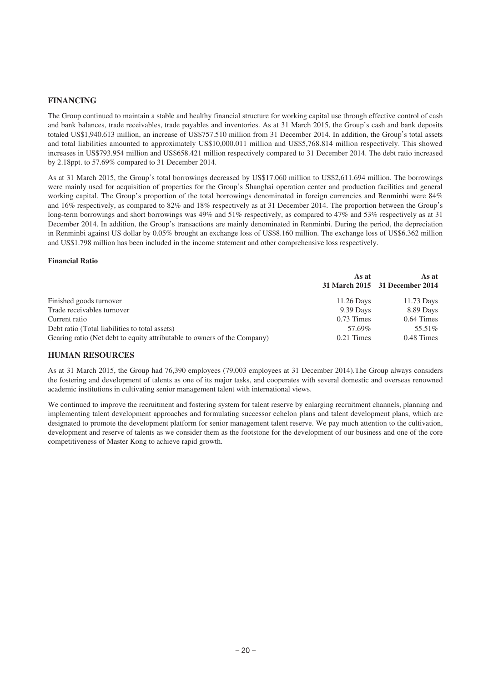## **FINANCING**

The Group continued to maintain a stable and healthy financial structure for working capital use through effective control of cash and bank balances, trade receivables, trade payables and inventories. As at 31 March 2015, the Group's cash and bank deposits totaled US\$1,940.613 million, an increase of US\$757.510 million from 31 December 2014. In addition, the Group's total assets and total liabilities amounted to approximately US\$10,000.011 million and US\$5,768.814 million respectively. This showed increases in US\$793.954 million and US\$658.421 million respectively compared to 31 December 2014. The debt ratio increased by 2.18ppt. to 57.69% compared to 31 December 2014.

As at 31 March 2015, the Group's total borrowings decreased by US\$17.060 million to US\$2,611.694 million. The borrowings were mainly used for acquisition of properties for the Group's Shanghai operation center and production facilities and general working capital. The Group's proportion of the total borrowings denominated in foreign currencies and Renminbi were 84% and 16% respectively, as compared to 82% and 18% respectively as at 31 December 2014. The proportion between the Group's long-term borrowings and short borrowings was 49% and 51% respectively, as compared to 47% and 53% respectively as at 31 December 2014. In addition, the Group's transactions are mainly denominated in Renminbi. During the period, the depreciation in Renminbi against US dollar by 0.05% brought an exchange loss of US\$8.160 million. The exchange loss of US\$6.362 million and US\$1.798 million has been included in the income statement and other comprehensive loss respectively.

#### **Financial Ratio**

|                                                                          | As at        | As at<br>31 March 2015 31 December 2014 |
|--------------------------------------------------------------------------|--------------|-----------------------------------------|
| Finished goods turnover                                                  | 11.26 Days   | 11.73 Days                              |
| Trade receivables turnover                                               | 9.39 Days    | 8.89 Days                               |
| Current ratio                                                            | 0.73 Times   | $0.64$ Times                            |
| Debt ratio (Total liabilities to total assets)                           | 57.69%       | 55.51%                                  |
| Gearing ratio (Net debt to equity attributable to owners of the Company) | $0.21$ Times | 0.48 Times                              |

#### **HUMAN RESOURCES**

As at 31 March 2015, the Group had 76,390 employees (79,003 employees at 31 December 2014).The Group always considers the fostering and development of talents as one of its major tasks, and cooperates with several domestic and overseas renowned academic institutions in cultivating senior management talent with international views.

We continued to improve the recruitment and fostering system for talent reserve by enlarging recruitment channels, planning and implementing talent development approaches and formulating successor echelon plans and talent development plans, which are designated to promote the development platform for senior management talent reserve. We pay much attention to the cultivation, development and reserve of talents as we consider them as the footstone for the development of our business and one of the core competitiveness of Master Kong to achieve rapid growth.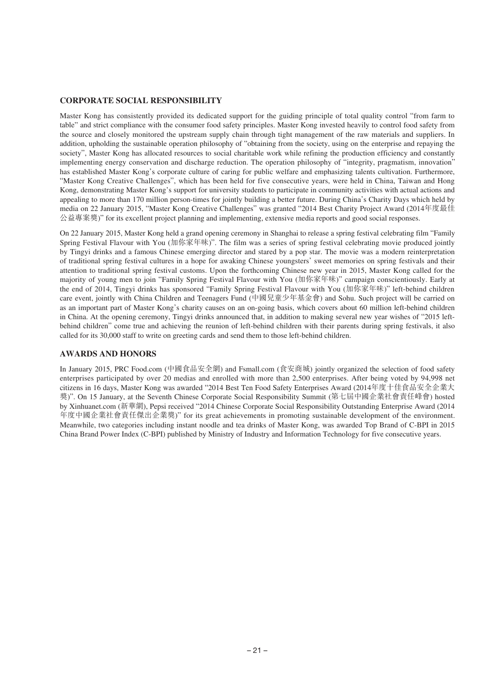## **CORPORATE SOCIAL RESPONSIBILITY**

Master Kong has consistently provided its dedicated support for the guiding principle of total quality control "from farm to table" and strict compliance with the consumer food safety principles. Master Kong invested heavily to control food safety from the source and closely monitored the upstream supply chain through tight management of the raw materials and suppliers. In addition, upholding the sustainable operation philosophy of "obtaining from the society, using on the enterprise and repaying the society", Master Kong has allocated resources to social charitable work while refining the production efficiency and constantly implementing energy conservation and discharge reduction. The operation philosophy of "integrity, pragmatism, innovation" has established Master Kong's corporate culture of caring for public welfare and emphasizing talents cultivation. Furthermore, "Master Kong Creative Challenges", which has been held for five consecutive years, were held in China, Taiwan and Hong Kong, demonstrating Master Kong's support for university students to participate in community activities with actual actions and appealing to more than 170 million person-times for jointly building a better future. During China's Charity Days which held by media on 22 January 2015, "Master Kong Creative Challenges" was granted "2014 Best Charity Project Award (2014年度最佳 公益專案獎)" for its excellent project planning and implementing, extensive media reports and good social responses.

On 22 January 2015, Master Kong held a grand opening ceremony in Shanghai to release a spring festival celebrating film "Family Spring Festival Flavour with You (加你家年味)". The film was a series of spring festival celebrating movie produced jointly by Tingyi drinks and a famous Chinese emerging director and stared by a pop star. The movie was a modern reinterpretation of traditional spring festival cultures in a hope for awaking Chinese youngsters' sweet memories on spring festivals and their attention to traditional spring festival customs. Upon the forthcoming Chinese new year in 2015, Master Kong called for the majority of young men to join "Family Spring Festival Flavour with You (加你家年味)" campaign conscientiously. Early at the end of 2014, Tingyi drinks has sponsored "Family Spring Festival Flavour with You (加你家年味)" left-behind children care event, jointly with China Children and Teenagers Fund (中國兒童少年基金會) and Sohu. Such project will be carried on as an important part of Master Kong's charity causes on an on-going basis, which covers about 60 million left-behind children in China. At the opening ceremony, Tingyi drinks announced that, in addition to making several new year wishes of "2015 leftbehind children" come true and achieving the reunion of left-behind children with their parents during spring festivals, it also called for its 30,000 staff to write on greeting cards and send them to those left-behind children.

# **AWARDS AND HONORS**

In January 2015, PRC Food.com (中國食品安全網) and Fsmall.com (食安商城) jointly organized the selection of food safety enterprises participated by over 20 medias and enrolled with more than 2,500 enterprises. After being voted by 94,998 net citizens in 16 days, Master Kong was awarded "2014 Best Ten Food Safety Enterprises Award (2014年度十佳食品安全企業大 獎)". On 15 January, at the Seventh Chinese Corporate Social Responsibility Summit (第七屆中國企業社會責任峰會) hosted by Xinhuanet.com (新華網), Pepsi received "2014 Chinese Corporate Social Responsibility Outstanding Enterprise Award (2014 年度中國企業社會責任傑出企業獎)" for its great achievements in promoting sustainable development of the environment. Meanwhile, two categories including instant noodle and tea drinks of Master Kong, was awarded Top Brand of C-BPI in 2015 China Brand Power Index (C-BPI) published by Ministry of Industry and Information Technology for five consecutive years.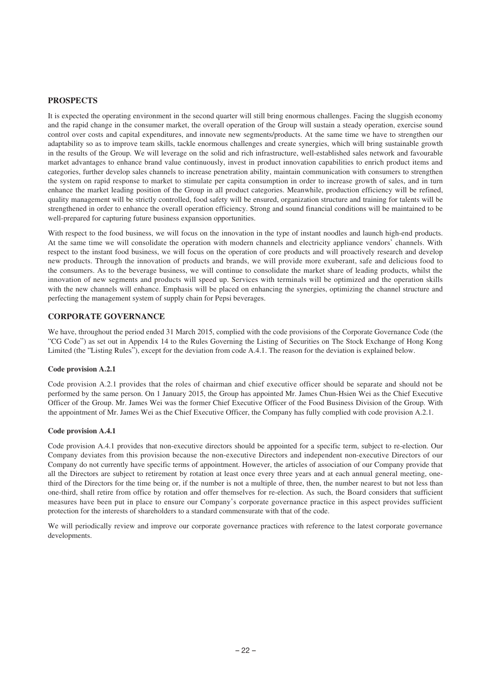## **PROSPECTS**

It is expected the operating environment in the second quarter will still bring enormous challenges. Facing the sluggish economy and the rapid change in the consumer market, the overall operation of the Group will sustain a steady operation, exercise sound control over costs and capital expenditures, and innovate new segments/products. At the same time we have to strengthen our adaptability so as to improve team skills, tackle enormous challenges and create synergies, which will bring sustainable growth in the results of the Group. We will leverage on the solid and rich infrastructure, well-established sales network and favourable market advantages to enhance brand value continuously, invest in product innovation capabilities to enrich product items and categories, further develop sales channels to increase penetration ability, maintain communication with consumers to strengthen the system on rapid response to market to stimulate per capita consumption in order to increase growth of sales, and in turn enhance the market leading position of the Group in all product categories. Meanwhile, production efficiency will be refined, quality management will be strictly controlled, food safety will be ensured, organization structure and training for talents will be strengthened in order to enhance the overall operation efficiency. Strong and sound financial conditions will be maintained to be well-prepared for capturing future business expansion opportunities.

With respect to the food business, we will focus on the innovation in the type of instant noodles and launch high-end products. At the same time we will consolidate the operation with modern channels and electricity appliance vendors' channels. With respect to the instant food business, we will focus on the operation of core products and will proactively research and develop new products. Through the innovation of products and brands, we will provide more exuberant, safe and delicious food to the consumers. As to the beverage business, we will continue to consolidate the market share of leading products, whilst the innovation of new segments and products will speed up. Services with terminals will be optimized and the operation skills with the new channels will enhance. Emphasis will be placed on enhancing the synergies, optimizing the channel structure and perfecting the management system of supply chain for Pepsi beverages.

## **CORPORATE GOVERNANCE**

We have, throughout the period ended 31 March 2015, complied with the code provisions of the Corporate Governance Code (the "CG Code") as set out in Appendix 14 to the Rules Governing the Listing of Securities on The Stock Exchange of Hong Kong Limited (the "Listing Rules"), except for the deviation from code A.4.1. The reason for the deviation is explained below.

#### **Code provision A.2.1**

Code provision A.2.1 provides that the roles of chairman and chief executive officer should be separate and should not be performed by the same person. On 1 January 2015, the Group has appointed Mr. James Chun-Hsien Wei as the Chief Executive Officer of the Group. Mr. James Wei was the former Chief Executive Officer of the Food Business Division of the Group. With the appointment of Mr. James Wei as the Chief Executive Officer, the Company has fully complied with code provision A.2.1.

#### **Code provision A.4.1**

Code provision A.4.1 provides that non-executive directors should be appointed for a specific term, subject to re-election. Our Company deviates from this provision because the non-executive Directors and independent non-executive Directors of our Company do not currently have specific terms of appointment. However, the articles of association of our Company provide that all the Directors are subject to retirement by rotation at least once every three years and at each annual general meeting, onethird of the Directors for the time being or, if the number is not a multiple of three, then, the number nearest to but not less than one-third, shall retire from office by rotation and offer themselves for re-election. As such, the Board considers that sufficient measures have been put in place to ensure our Company's corporate governance practice in this aspect provides sufficient protection for the interests of shareholders to a standard commensurate with that of the code.

We will periodically review and improve our corporate governance practices with reference to the latest corporate governance developments.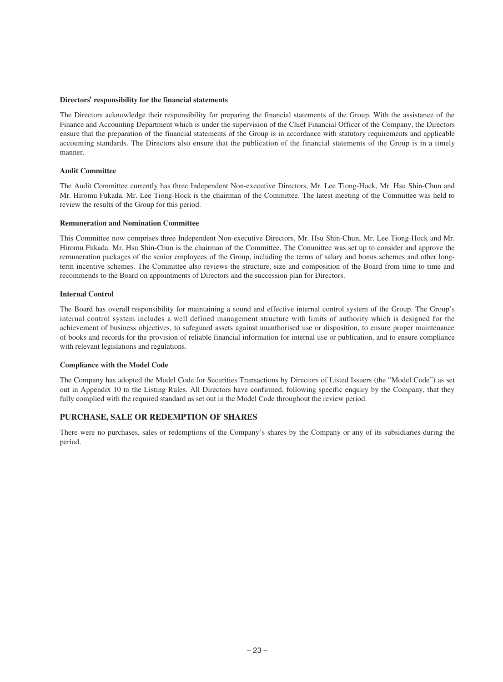#### **Directors' responsibility for the financial statements**

The Directors acknowledge their responsibility for preparing the financial statements of the Group. With the assistance of the Finance and Accounting Department which is under the supervision of the Chief Financial Officer of the Company, the Directors ensure that the preparation of the financial statements of the Group is in accordance with statutory requirements and applicable accounting standards. The Directors also ensure that the publication of the financial statements of the Group is in a timely manner.

#### **Audit Committee**

The Audit Committee currently has three Independent Non-executive Directors, Mr. Lee Tiong-Hock, Mr. Hsu Shin-Chun and Mr. Hiromu Fukada. Mr. Lee Tiong-Hock is the chairman of the Committee. The latest meeting of the Committee was held to review the results of the Group for this period.

#### **Remuneration and Nomination Committee**

This Committee now comprises three Independent Non-executive Directors, Mr. Hsu Shin-Chun, Mr. Lee Tiong-Hock and Mr. Hiromu Fukada. Mr. Hsu Shin-Chun is the chairman of the Committee. The Committee was set up to consider and approve the remuneration packages of the senior employees of the Group, including the terms of salary and bonus schemes and other longterm incentive schemes. The Committee also reviews the structure, size and composition of the Board from time to time and recommends to the Board on appointments of Directors and the succession plan for Directors.

#### **Internal Control**

The Board has overall responsibility for maintaining a sound and effective internal control system of the Group. The Group's internal control system includes a well defined management structure with limits of authority which is designed for the achievement of business objectives, to safeguard assets against unauthorised use or disposition, to ensure proper maintenance of books and records for the provision of reliable financial information for internal use or publication, and to ensure compliance with relevant legislations and regulations.

#### **Compliance with the Model Code**

The Company has adopted the Model Code for Securities Transactions by Directors of Listed Issuers (the "Model Code") as set out in Appendix 10 to the Listing Rules. All Directors have confirmed, following specific enquiry by the Company, that they fully complied with the required standard as set out in the Model Code throughout the review period.

## **PURCHASE, SALE OR REDEMPTION OF SHARES**

There were no purchases, sales or redemptions of the Company's shares by the Company or any of its subsidiaries during the period.